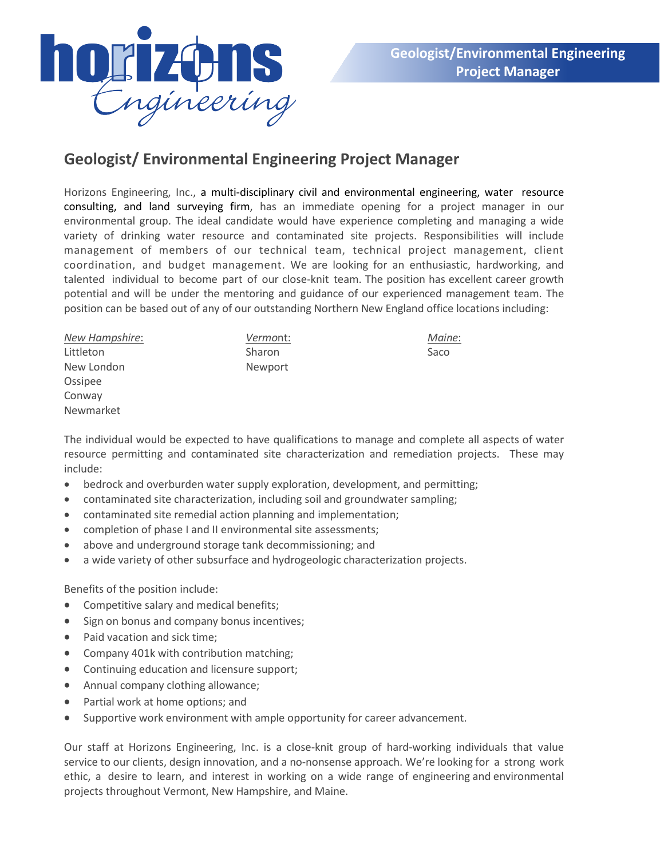

## **Geologist/ Environmental Engineering Project Manager**

Horizons Engineering, Inc., a multi-disciplinary civil and environmental engineering, water resource consulting, and land surveying firm, has an immediate opening for a project manager in our environmental group. The ideal candidate would have experience completing and managing a wide variety of drinking water resource and contaminated site projects. Responsibilities will include management of members of our technical team, technical project management, client coordination, and budget management. We are looking for an enthusiastic, hardworking, and talented individual to become part of our close-knit team. The position has excellent career growth potential and will be under the mentoring and guidance of our experienced management team. The position can be based out of any of our outstanding Northern New England office locations including:

| New Hampshire: | Vermont:      | Maine: |
|----------------|---------------|--------|
| Littleton      | <b>Sharon</b> | Saco   |
| New London     | Newport       |        |
| Ossipee        |               |        |
| Conway         |               |        |
| Newmarket      |               |        |

The individual would be expected to have qualifications to manage and complete all aspects of water resource permitting and contaminated site characterization and remediation projects. These may include:

- bedrock and overburden water supply exploration, development, and permitting;
- contaminated site characterization, including soil and groundwater sampling;
- contaminated site remedial action planning and implementation;
- completion of phase I and II environmental site assessments;
- above and underground storage tank decommissioning; and
- a wide variety of other subsurface and hydrogeologic characterization projects.

Benefits of the position include:

- Competitive salary and medical benefits;
- Sign on bonus and company bonus incentives;
- Paid vacation and sick time;
- Company 401k with contribution matching;
- Continuing education and licensure support;
- Annual company clothing allowance;
- Partial work at home options; and
- Supportive work environment with ample opportunity for career advancement.

Our staff at Horizons Engineering, Inc. is a close-knit group of hard-working individuals that value service to our clients, design innovation, and a no-nonsense approach. We're looking for a strong work ethic, a desire to learn, and interest in working on a wide range of engineering and environmental projects throughout Vermont, New Hampshire, and Maine.